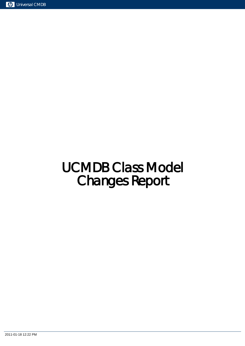# UCMDB Class Model Changes Report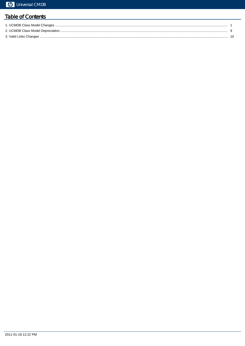# **Table of Contents**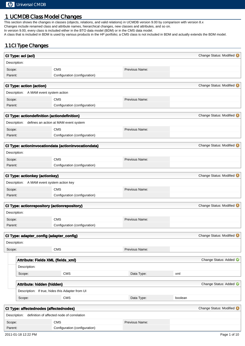## 1. UCMDB Class Model Changes

This section shows the changes in classes (objects, relations, and valid relations) in UCMDB version 9.00 by comparison with version 8.x Changes include renamed class and attribute names, hierarchical changes, new classes and attributes, and so on. In version 9.00, every class is included either in the BTO data model (BDM) or in the CMS data model. A class that is included in BDM is used by various products in the HP portfolio; a CMS class is not included in BDM and actually extends the BDM model.

#### 1.1 CI Type Changes

|                   | CI Type: acl (acl)                                      |                                                      |                |         | Change Status: Modified |
|-------------------|---------------------------------------------------------|------------------------------------------------------|----------------|---------|-------------------------|
| Description:      |                                                         |                                                      |                |         |                         |
| Scope:            |                                                         | <b>CMS</b>                                           | Previous Name: |         |                         |
| Parent:           |                                                         | Configuration (configuration)                        |                |         |                         |
|                   | <b>CI Type: action (action)</b>                         |                                                      |                |         | Change Status: Modified |
|                   | Description: A MAM event system action                  |                                                      |                |         |                         |
|                   |                                                         | <b>CMS</b>                                           | Previous Name: |         |                         |
| Scope:<br>Parent: |                                                         | Configuration (configuration)                        |                |         |                         |
|                   |                                                         |                                                      |                |         |                         |
|                   | <b>CI Type: actiondefinition (actiondefinition)</b>     |                                                      |                |         | Change Status: Modified |
|                   | Description: defines an action at MAM event system      |                                                      |                |         |                         |
| Scope:            |                                                         | <b>CMS</b>                                           | Previous Name: |         |                         |
| Parent:           |                                                         | Configuration (configuration)                        |                |         |                         |
|                   |                                                         | CI Type: actioninvocationdata (actioninvocationdata) |                |         | Change Status: Modified |
| Description:      |                                                         |                                                      |                |         |                         |
|                   |                                                         |                                                      |                |         |                         |
| Scope:<br>Parent: |                                                         | <b>CMS</b><br>Configuration (configuration)          | Previous Name: |         |                         |
|                   |                                                         |                                                      |                |         |                         |
|                   | CI Type: actionkey (actionkey)                          |                                                      |                |         | Change Status: Modified |
|                   | Description: A MAM event system action key              |                                                      |                |         |                         |
| Scope:            |                                                         | <b>CMS</b>                                           | Previous Name: |         |                         |
| Parent:           |                                                         | Configuration (configuration)                        |                |         |                         |
|                   |                                                         |                                                      |                |         | Change Status: Modified |
|                   | <b>CI Type: actionrepository (actionrepository)</b>     |                                                      |                |         |                         |
| Description:      |                                                         |                                                      |                |         |                         |
| Scope:            |                                                         | <b>CMS</b>                                           | Previous Name: |         |                         |
| Parent:           |                                                         | Configuration (configuration)                        |                |         |                         |
|                   | CI Type: adapter_config (adapter_config)                |                                                      |                |         | Change Status: Modified |
| Description:      |                                                         |                                                      |                |         |                         |
| Scope:            |                                                         | <b>CMS</b>                                           | Previous Name: |         |                         |
|                   |                                                         |                                                      |                |         |                         |
|                   | Attribute: Fields XML (fields_xml)                      |                                                      |                |         | Change Status: Added    |
|                   | Description:                                            |                                                      |                |         |                         |
|                   | Scope:                                                  | CMS                                                  | Data Type:     | xml     |                         |
|                   | Attribute: hidden (hidden)                              |                                                      |                |         | Change Status: Added    |
|                   |                                                         | Description: If true, hides this Adapter from UI     |                |         |                         |
|                   | Scope:                                                  | CMS                                                  | Data Type:     | boolean |                         |
|                   |                                                         |                                                      |                |         |                         |
|                   | CI Type: affectednodes (affectednodes)                  |                                                      |                |         | Change Status: Modified |
|                   | Description: definition of affected node of correlation |                                                      |                |         |                         |
| Scope:            |                                                         | <b>CMS</b>                                           | Previous Name: |         |                         |
| Parent:           |                                                         | Configuration (configuration)                        |                |         |                         |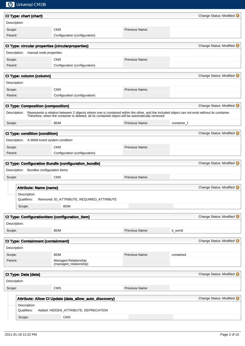| $\overline{d}$ | <b>Universal CMDB</b>                     |                                                                                                                                                                                                                                                   |                |             |                           |
|----------------|-------------------------------------------|---------------------------------------------------------------------------------------------------------------------------------------------------------------------------------------------------------------------------------------------------|----------------|-------------|---------------------------|
|                | CI Type: chart (chart)                    |                                                                                                                                                                                                                                                   |                |             | Change Status: Modified   |
| Description:   |                                           |                                                                                                                                                                                                                                                   |                |             |                           |
| Scope:         |                                           | <b>CMS</b>                                                                                                                                                                                                                                        | Previous Name: |             |                           |
| Parent:        |                                           | Configuration (configuration)                                                                                                                                                                                                                     |                |             |                           |
|                |                                           | CI Type: circular properties (circularproperties)                                                                                                                                                                                                 |                |             | Change Status: Modified   |
| Description:   | manual node properties                    |                                                                                                                                                                                                                                                   |                |             |                           |
| Scope:         |                                           | <b>CMS</b>                                                                                                                                                                                                                                        | Previous Name: |             |                           |
| Parent:        |                                           | Configuration (configuration)                                                                                                                                                                                                                     |                |             |                           |
|                |                                           |                                                                                                                                                                                                                                                   |                |             |                           |
|                | CI Type: column (column)                  |                                                                                                                                                                                                                                                   |                |             | Change Status: Modified   |
| Description:   |                                           |                                                                                                                                                                                                                                                   |                |             |                           |
| Scope:         |                                           | <b>CMS</b>                                                                                                                                                                                                                                        | Previous Name: |             |                           |
| Parent:        |                                           | Configuration (configuration)                                                                                                                                                                                                                     |                |             |                           |
|                | <b>CI Type: Composition (composition)</b> |                                                                                                                                                                                                                                                   |                |             | Change Status: Modified   |
| Description:   |                                           | Represents a relation between 2 objects where one is contained within the other, and the included object can not exist without its container.<br>Therefore, when the container is deleted, all its contained object will be automatically removed |                |             |                           |
| Scope:         |                                           | <b>BDM</b>                                                                                                                                                                                                                                        | Previous Name: | container_f |                           |
|                |                                           |                                                                                                                                                                                                                                                   |                |             |                           |
|                | <b>CI Type: condition (condition)</b>     |                                                                                                                                                                                                                                                   |                |             | Change Status: Modified   |
|                | Description: A MAM event system condition |                                                                                                                                                                                                                                                   |                |             |                           |
| Scope:         |                                           | <b>CMS</b>                                                                                                                                                                                                                                        | Previous Name: |             |                           |
| Parent:        |                                           | Configuration (configuration)                                                                                                                                                                                                                     |                |             |                           |
|                |                                           | CI Type: Configuration Bundle (configuration_bundle)                                                                                                                                                                                              |                |             | Change Status: Modified   |
|                |                                           |                                                                                                                                                                                                                                                   |                |             |                           |
| Description:   | Bundles configuration items               |                                                                                                                                                                                                                                                   |                |             |                           |
| Scope:         |                                           | <b>CMS</b>                                                                                                                                                                                                                                        | Previous Name: |             |                           |
|                |                                           |                                                                                                                                                                                                                                                   |                |             |                           |
|                | <b>Attribute: Name (name)</b>             |                                                                                                                                                                                                                                                   |                |             | Change Status: Modified @ |
|                | Description:                              |                                                                                                                                                                                                                                                   |                |             |                           |
|                | Qualifiers:                               | Removed: ID_ATTRIBUTE, REQUIRED_ATTRIBUTE                                                                                                                                                                                                         |                |             |                           |
|                | Scope:                                    | <b>BDM</b>                                                                                                                                                                                                                                        |                |             |                           |
|                |                                           | CI Type: ConfigurationItem (configuration_item)                                                                                                                                                                                                   |                |             | Change Status: Modified   |
| Description:   |                                           |                                                                                                                                                                                                                                                   |                |             |                           |
| Scope:         |                                           | <b>BDM</b>                                                                                                                                                                                                                                        | Previous Name: | it_world    |                           |
|                |                                           |                                                                                                                                                                                                                                                   |                |             |                           |
|                | <b>CI Type: Containment (containment)</b> |                                                                                                                                                                                                                                                   |                |             | Change Status: Modified   |
| Description:   |                                           |                                                                                                                                                                                                                                                   |                |             |                           |
| Scope:         |                                           | <b>BDM</b>                                                                                                                                                                                                                                        | Previous Name: | contained   |                           |
| Parent:        |                                           | Managed Relationship<br>(managed_relationship)                                                                                                                                                                                                    |                |             |                           |
|                | CI Type: Data (data)                      |                                                                                                                                                                                                                                                   |                |             | Change Status: Modified   |
| Description:   |                                           |                                                                                                                                                                                                                                                   |                |             |                           |
| Scope:         |                                           | <b>CMS</b>                                                                                                                                                                                                                                        | Previous Name: |             |                           |
|                |                                           |                                                                                                                                                                                                                                                   |                |             |                           |
|                |                                           | Attribute: Allow CI Update (data_allow_auto_discovery)                                                                                                                                                                                            |                |             | Change Status: Modified   |
|                | Description:<br>Qualifiers:               | Added: HIDDEN_ATTRIBUTE, DEPRECATION                                                                                                                                                                                                              |                |             |                           |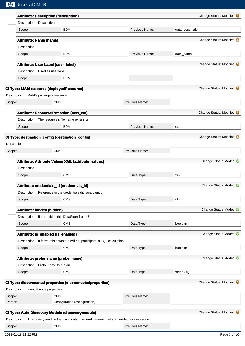| $\varphi$ | <b>Universal CMDB</b>                 |                                                                                                  |                |                  |                         |
|-----------|---------------------------------------|--------------------------------------------------------------------------------------------------|----------------|------------------|-------------------------|
|           |                                       | <b>Attribute: Description (description)</b>                                                      |                |                  | Change Status: Modified |
|           | Description: Description              |                                                                                                  |                |                  |                         |
|           | Scope:                                | <b>BDM</b>                                                                                       | Previous Name: | data_description |                         |
|           | <b>Attribute: Name (name)</b>         |                                                                                                  |                |                  | Change Status: Modified |
|           | Description:                          |                                                                                                  |                |                  |                         |
|           | Scope:                                | <b>BDM</b>                                                                                       | Previous Name: | data_name        |                         |
|           | Attribute: User Label (user_label)    |                                                                                                  |                |                  | Change Status: Modified |
|           | Description: Used as user label       |                                                                                                  |                |                  |                         |
|           | Scope:                                | <b>BDM</b>                                                                                       |                |                  |                         |
|           |                                       | <b>CI Type: MAM resource (deployedResource)</b>                                                  |                |                  | Change Status: Modified |
|           | Description: MAM's package's resource |                                                                                                  |                |                  |                         |
| Scope:    |                                       | <b>CMS</b>                                                                                       | Previous Name: |                  |                         |
|           |                                       |                                                                                                  |                |                  | Change Status: Modified |
|           |                                       | Attribute: ResourceExtension (new_ext)<br>Description: The resource's file name extension        |                |                  |                         |
|           | Scope:                                | <b>BDM</b>                                                                                       | Previous Name: | ext              |                         |
|           |                                       |                                                                                                  |                |                  |                         |
|           | Description:                          | CI Type: destination_config (destination_config)                                                 |                |                  | Change Status: Modified |
| Scope:    |                                       | <b>CMS</b>                                                                                       | Previous Name: |                  |                         |
|           |                                       |                                                                                                  |                |                  |                         |
|           |                                       | Attribute: Attribute Values XML (attribute_values)                                               |                |                  | Change Status: Added    |
|           | Description:                          |                                                                                                  |                |                  |                         |
|           | Scope:                                | <b>CMS</b>                                                                                       | Data Type:     | xml              |                         |
|           |                                       | Attribute: credentials_id (credentials_id)                                                       |                |                  | Change Status: Added    |
|           |                                       | Description: Reference to the credentials dictionary entry                                       |                |                  |                         |
|           | Scope:                                | <b>CMS</b>                                                                                       | Data Type:     | string           |                         |
|           | Attribute: hidden (hidden)            |                                                                                                  |                |                  | Change Status: Added    |
|           |                                       | Description: If true, hides this DataStore from UI                                               |                |                  |                         |
|           | Scope:                                | <b>CMS</b>                                                                                       | Data Type:     | boolean          |                         |
|           | Attribute: is_enabled (is_enabled)    |                                                                                                  |                |                  | Change Status: Added    |
|           |                                       | Description: If false, this datastore will not participate in TQL calculation                    |                |                  |                         |
|           | Scope:                                | <b>CMS</b>                                                                                       | Data Type:     | boolean          |                         |
|           |                                       | Attribute: probe_name (probe_name)                                                               |                |                  | Change Status: Added    |
|           | Description: Probe name to run on     |                                                                                                  |                |                  |                         |
|           | Scope:                                | <b>CMS</b>                                                                                       | Data Type:     | string(80)       |                         |
|           |                                       |                                                                                                  |                |                  |                         |
|           | Description: manual node properties   | CI Type: disconnected properties (disconnectedproperties)                                        |                |                  | Change Status: Modified |
| Scope:    |                                       | <b>CMS</b>                                                                                       | Previous Name: |                  |                         |
| Parent:   |                                       | Configuration (configuration)                                                                    |                |                  |                         |
|           |                                       |                                                                                                  |                |                  |                         |
|           |                                       | <b>CI Type: Auto Discovery Module (discoverymodule)</b>                                          |                |                  | Change Status: Modified |
|           |                                       | Description: A discovery module that can contain several patterns that are needed for invocation |                |                  |                         |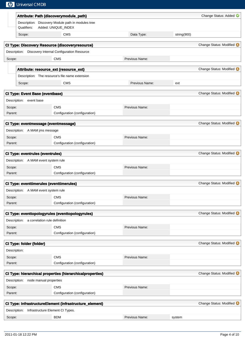|                   |              | <b>Mp</b> Universal CMDB                   |                                                                           |                |             |                         |
|-------------------|--------------|--------------------------------------------|---------------------------------------------------------------------------|----------------|-------------|-------------------------|
|                   |              |                                            | Attribute: Path (discoverymodule_path)                                    |                |             | Change Status: Added    |
|                   | Qualifiers:  |                                            | Description: Discovery Module path in modules tree<br>Added: UNIQUE_INDEX |                |             |                         |
|                   | Scope:       |                                            | <b>CMS</b>                                                                | Data Type:     | string(900) |                         |
|                   |              |                                            | <b>CI Type: Discovery Resource (discoveryresource)</b>                    |                |             | Change Status: Modified |
|                   | Description: |                                            | Discovery Internal Configuration Resource                                 |                |             |                         |
| Scope:            |              |                                            | <b>CMS</b>                                                                | Previous Name: |             |                         |
|                   |              |                                            | Attribute: resource_ext (resource_ext)                                    |                |             | Change Status: Modified |
|                   |              |                                            | Description: The resource's file name extension                           |                |             |                         |
|                   | Scope:       |                                            | <b>CMS</b>                                                                | Previous Name: | ext         |                         |
|                   |              | <b>CI Type: Event Base (eventbase)</b>     |                                                                           |                |             | Change Status: Modified |
|                   |              | Description: event base                    |                                                                           |                |             |                         |
| Scope:            |              |                                            | <b>CMS</b>                                                                | Previous Name: |             |                         |
| Parent:           |              |                                            | Configuration (configuration)                                             |                |             |                         |
|                   |              |                                            | CI Type: eventmessage (eventmessage)                                      |                |             | Change Status: Modified |
|                   |              | Description: A MAM jms message             |                                                                           |                |             |                         |
| Scope:            |              |                                            | <b>CMS</b>                                                                | Previous Name: |             |                         |
| Parent:           |              |                                            | Configuration (configuration)                                             |                |             |                         |
|                   |              | <b>CI Type: eventrules (eventrules)</b>    |                                                                           |                |             | Change Status: Modified |
|                   |              | Description: A MAM event system rule       |                                                                           |                |             |                         |
| Scope:            |              |                                            | <b>CMS</b>                                                                | Previous Name: |             |                         |
| Parent:           |              |                                            | Configuration (configuration)                                             |                |             |                         |
|                   |              |                                            | <b>CI Type: eventtimerules (eventtimerules)</b>                           |                |             | Change Status: Modified |
|                   | Description: | A MAM event system rule                    |                                                                           |                |             |                         |
| Scope:            |              |                                            | <b>CMS</b>                                                                | Previous Name: |             |                         |
| Parent:           |              |                                            | Configuration (configuration)                                             |                |             |                         |
|                   |              |                                            |                                                                           |                |             |                         |
|                   |              |                                            | CI Type: eventtopologyrules (eventtopologyrules)                          |                |             | Change Status: Modified |
|                   |              | Description: a correlation rule definition |                                                                           |                |             |                         |
| Scope:<br>Parent: |              |                                            | <b>CMS</b><br>Configuration (configuration)                               | Previous Name: |             |                         |
|                   |              |                                            |                                                                           |                |             |                         |
|                   |              | CI Type: folder (folder)                   |                                                                           |                |             | Change Status: Modified |
| Description:      |              |                                            |                                                                           |                |             |                         |
| Scope:            |              |                                            | <b>CMS</b>                                                                | Previous Name: |             |                         |
| Parent:           |              |                                            | Configuration (configuration)                                             |                |             |                         |
|                   |              |                                            | CI Type: hierarchical properties (hierarchicalproperties)                 |                |             | Change Status: Modified |
| Description:      |              | node manual properties                     |                                                                           |                |             |                         |
| Scope:            |              |                                            | <b>CMS</b>                                                                | Previous Name: |             |                         |
| Parent:           |              |                                            | Configuration (configuration)                                             |                |             |                         |
|                   |              |                                            | CI Type: InfrastructureElement (infrastructure_element)                   |                |             | Change Status: Modified |
| Description:      |              |                                            | Infrastructure Element CI Types.                                          |                |             |                         |
| Scope:            |              |                                            | <b>BDM</b>                                                                | Previous Name: | system      |                         |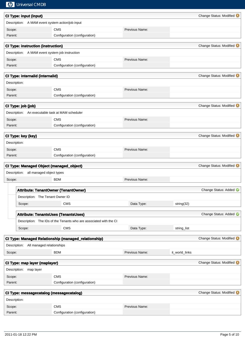|              | <b>Mp</b> Universal CMDB                         |                                                                    |                |                |                                  |
|--------------|--------------------------------------------------|--------------------------------------------------------------------|----------------|----------------|----------------------------------|
|              | <b>CI Type: input (input)</b>                    |                                                                    |                |                | Change Status: Modified          |
|              | Description: A MAM event system action/job input |                                                                    |                |                |                                  |
| Scope:       |                                                  | <b>CMS</b>                                                         | Previous Name: |                |                                  |
| Parent:      |                                                  | Configuration (configuration)                                      |                |                |                                  |
|              |                                                  |                                                                    |                |                |                                  |
|              | <b>CI Type: instruction (instruction)</b>        |                                                                    |                |                | Change Status: Modified <b>O</b> |
|              | Description: A MAM event system job instruction  |                                                                    |                |                |                                  |
| Scope:       |                                                  | <b>CMS</b>                                                         | Previous Name: |                |                                  |
| Parent:      |                                                  | Configuration (configuration)                                      |                |                |                                  |
|              | CI Type: internalid (internalid)                 |                                                                    |                |                | Change Status: Modified          |
| Description: |                                                  |                                                                    |                |                |                                  |
| Scope:       |                                                  | <b>CMS</b>                                                         | Previous Name: |                |                                  |
| Parent:      |                                                  | Configuration (configuration)                                      |                |                |                                  |
|              |                                                  |                                                                    |                |                |                                  |
|              | CI Type: job (job)                               |                                                                    |                |                | Change Status: Modified          |
|              | Description: An executable task at MAM scheduler |                                                                    |                |                |                                  |
| Scope:       |                                                  | <b>CMS</b>                                                         | Previous Name: |                |                                  |
| Parent:      |                                                  | Configuration (configuration)                                      |                |                |                                  |
|              | CI Type: key (key)                               |                                                                    |                |                | Change Status: Modified          |
| Description: |                                                  |                                                                    |                |                |                                  |
| Scope:       |                                                  | <b>CMS</b>                                                         | Previous Name: |                |                                  |
| Parent:      |                                                  | Configuration (configuration)                                      |                |                |                                  |
|              |                                                  |                                                                    |                |                |                                  |
|              | CI Type: Managed Object (managed_object)         |                                                                    |                |                | Change Status: Modified          |
|              | all managed object types<br>Description:         |                                                                    |                |                |                                  |
| Scope:       |                                                  | <b>BDM</b>                                                         | Previous Name: |                |                                  |
|              |                                                  | Attribute: TenantOwner (TenantOwner)                               |                |                | Change Status: Added             |
|              | Description: The Tenant Owner ID                 |                                                                    |                |                |                                  |
|              | Scope:                                           | CMS                                                                | Data Type:     | string(32)     |                                  |
|              |                                                  |                                                                    |                |                |                                  |
|              |                                                  | <b>Attribute: TenantsUses (TenantsUses)</b>                        |                |                | Change Status: Added             |
|              |                                                  | Description: The IDs of the Tenants who are associated with the CI |                |                |                                  |
|              | Scope:                                           | <b>CMS</b>                                                         | Data Type:     | string_list    |                                  |
|              |                                                  |                                                                    |                |                | Change Status: Modified <b>O</b> |
|              |                                                  | CI Type: Managed Relationship (managed_relationship)               |                |                |                                  |
|              | Description: All managed relationships           |                                                                    |                |                |                                  |
| Scope:       |                                                  | <b>BDM</b>                                                         | Previous Name: | it_world_links |                                  |
|              | CI Type: map layer (maplayer)                    |                                                                    |                |                | Change Status: Modified          |
|              | Description:<br>map layer                        |                                                                    |                |                |                                  |
| Scope:       |                                                  | <b>CMS</b>                                                         | Previous Name: |                |                                  |
| Parent:      |                                                  | Configuration (configuration)                                      |                |                |                                  |
|              |                                                  |                                                                    |                |                |                                  |
|              | CI Type: messagecatalog (messagecatalog)         |                                                                    |                |                | Change Status: Modified <b>O</b> |
| Description: |                                                  |                                                                    |                |                |                                  |
| Scope:       |                                                  | <b>CMS</b>                                                         | Previous Name: |                |                                  |
| Parent:      |                                                  | Configuration (configuration)                                      |                |                |                                  |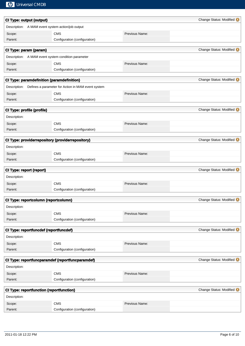| <b>CI Type: output (output)</b>                 |                                                                 |                | Change Status: Modified O        |
|-------------------------------------------------|-----------------------------------------------------------------|----------------|----------------------------------|
|                                                 | Description: A MAM event system action/job output               |                |                                  |
| Scope:                                          | <b>CMS</b>                                                      | Previous Name: |                                  |
| Parent:                                         | Configuration (configuration)                                   |                |                                  |
| CI Type: param (param)                          |                                                                 |                | Change Status: Modified          |
|                                                 | Description: A MAM event system condition parameter             |                |                                  |
| Scope:                                          | <b>CMS</b>                                                      | Previous Name: |                                  |
| Parent:                                         | Configuration (configuration)                                   |                |                                  |
|                                                 | CI Type: paramdefinition (paramdefinition)                      |                | Change Status: Modified          |
|                                                 | Description: Defines a parameter for Action in MAM event system |                |                                  |
| Scope:                                          | <b>CMS</b>                                                      | Previous Name: |                                  |
| Parent:                                         | Configuration (configuration)                                   |                |                                  |
| CI Type: profile (profile)                      |                                                                 |                | Change Status: Modified <b>O</b> |
| Description:                                    |                                                                 |                |                                  |
| Scope:                                          | <b>CMS</b>                                                      | Previous Name: |                                  |
| Parent:                                         | Configuration (configuration)                                   |                |                                  |
|                                                 | CI Type: providerrepository (providerrepository)                |                | Change Status: Modified          |
| Description:                                    |                                                                 |                |                                  |
| Scope:                                          | <b>CMS</b>                                                      | Previous Name: |                                  |
| Parent:                                         | Configuration (configuration)                                   |                |                                  |
|                                                 |                                                                 |                |                                  |
| CI Type: report (report)                        |                                                                 |                | Change Status: Modified          |
| Description:                                    |                                                                 |                |                                  |
| Scope:                                          | <b>CMS</b>                                                      | Previous Name: |                                  |
| Parent:                                         | Configuration (configuration)                                   |                |                                  |
| CI Type: reportcolumn (reportcolumn)            |                                                                 |                | Change Status: Modified O        |
| Description:                                    |                                                                 |                |                                  |
| Scope:                                          | <b>CMS</b>                                                      | Previous Name: |                                  |
| Parent:                                         | Configuration (configuration)                                   |                |                                  |
| CI Type: reportfuncdef (reportfuncdef)          |                                                                 |                | Change Status: Modified          |
| Description:                                    |                                                                 |                |                                  |
| Scope:                                          | <b>CMS</b>                                                      | Previous Name: |                                  |
| Parent:                                         | Configuration (configuration)                                   |                |                                  |
|                                                 | CI Type: reportfuncparamdef (reportfuncparamdef)                |                | Change Status: Modified          |
| Description:                                    |                                                                 |                |                                  |
| Scope:                                          | CMS                                                             | Previous Name: |                                  |
| Parent:                                         | Configuration (configuration)                                   |                |                                  |
| <b>CI Type: reportfunction (reportfunction)</b> |                                                                 |                | Change Status: Modified          |
| Description:                                    |                                                                 |                |                                  |
| Scope:                                          | <b>CMS</b>                                                      | Previous Name: |                                  |
| Parent:                                         | Configuration (configuration)                                   |                |                                  |
|                                                 |                                                                 |                |                                  |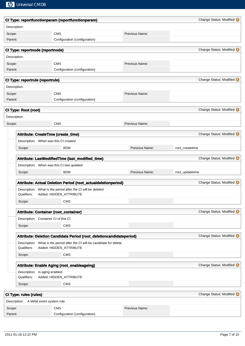|                   |                                              | CI Type: reportfunctionparam (reportfunctionparam)                                                   |                | Change Status: Modified          |
|-------------------|----------------------------------------------|------------------------------------------------------------------------------------------------------|----------------|----------------------------------|
| Description:      |                                              |                                                                                                      |                |                                  |
| Scope:            |                                              | <b>CMS</b>                                                                                           | Previous Name: |                                  |
| Parent:           |                                              | Configuration (configuration)                                                                        |                |                                  |
|                   | CI Type: reportnode (reportnode)             |                                                                                                      |                | Change Status: Modified          |
|                   |                                              |                                                                                                      |                |                                  |
| Description:      |                                              |                                                                                                      |                |                                  |
| Scope:<br>Parent: |                                              | <b>CMS</b><br>Configuration (configuration)                                                          | Previous Name: |                                  |
|                   |                                              |                                                                                                      |                |                                  |
|                   | CI Type: reportrule (reportrule)             |                                                                                                      |                | Change Status: Modified @        |
| Description:      |                                              |                                                                                                      |                |                                  |
| Scope:            |                                              | <b>CMS</b>                                                                                           | Previous Name: |                                  |
| Parent:           |                                              | Configuration (configuration)                                                                        |                |                                  |
|                   | CI Type: Root (root)                         |                                                                                                      |                | Change Status: Modified          |
| Description:      |                                              |                                                                                                      |                |                                  |
| Scope:            |                                              | <b>CMS</b>                                                                                           | Previous Name: |                                  |
|                   |                                              |                                                                                                      |                |                                  |
|                   |                                              | Attribute: CreateTime (create_time)                                                                  |                | Change Status: Modified          |
|                   |                                              | Description: When was this CI created                                                                |                |                                  |
|                   | Scope:                                       | <b>BDM</b>                                                                                           | Previous Name: | root_createtime                  |
|                   |                                              |                                                                                                      |                |                                  |
|                   |                                              | Attribute: LastModifiedTime (last_modified_time)                                                     |                | Change Status: Modified          |
|                   |                                              | Description: When was this CI last updated                                                           |                |                                  |
|                   | Scope:                                       | <b>BDM</b>                                                                                           | Previous Name: | root_updatetime                  |
|                   |                                              | Attribute: Actual Deletion Period (root_actualdeletionperiod)                                        |                | Change Status: Modified @        |
|                   |                                              | Description: What is the period after the CI will be deleted                                         |                |                                  |
|                   | Qualifiers:                                  | Added: HIDDEN_ATTRIBUTE                                                                              |                |                                  |
|                   | Scope:                                       | <b>CMS</b>                                                                                           |                |                                  |
|                   |                                              | Attribute: Container (root_container)                                                                |                | Change Status: Modified          |
|                   | Description: Container CI of this CI         |                                                                                                      |                |                                  |
|                   |                                              | CMS                                                                                                  |                |                                  |
|                   | Scope:                                       |                                                                                                      |                |                                  |
|                   |                                              | Attribute: Deletion Candidate Period (root_deletioncandidateperiod)                                  |                | Change Status: Modified <b>O</b> |
|                   | Qualifiers:                                  | Description: What is the period after the CI will be candidate for delete<br>Added: HIDDEN_ATTRIBUTE |                |                                  |
|                   | Scope:                                       | <b>CMS</b>                                                                                           |                |                                  |
|                   |                                              |                                                                                                      |                |                                  |
|                   |                                              | Attribute: Enable Aging (root_enableageing)                                                          |                | Change Status: Modified          |
|                   | Description: Is aging enabled<br>Qualifiers: | Added: HIDDEN_ATTRIBUTE                                                                              |                |                                  |
|                   | Scope:                                       | <b>CMS</b>                                                                                           |                |                                  |
|                   |                                              |                                                                                                      |                |                                  |
|                   | CI Type: rules (rules)                       |                                                                                                      |                | Change Status: Modified          |
|                   | Description: A MAM event system rule         |                                                                                                      |                |                                  |
| Scope:            |                                              | <b>CMS</b>                                                                                           | Previous Name: |                                  |
| Parent:           |                                              | Configuration (configuration)                                                                        |                |                                  |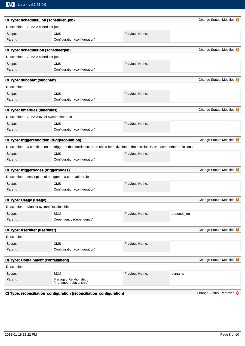|                               | CI Type: scheduler_job (scheduler_job)    |                                                                                                                                       |                |            | Change Status: Modified |
|-------------------------------|-------------------------------------------|---------------------------------------------------------------------------------------------------------------------------------------|----------------|------------|-------------------------|
|                               | Description: A MAM scheduler job          |                                                                                                                                       |                |            |                         |
| Scope:                        |                                           | <b>CMS</b>                                                                                                                            | Previous Name: |            |                         |
| Parent:                       |                                           | Configuration (configuration)                                                                                                         |                |            |                         |
|                               |                                           |                                                                                                                                       |                |            |                         |
|                               | CI Type: schedulerjob (schedulerjob)      |                                                                                                                                       |                |            | Change Status: Modified |
|                               | Description: A MAM scheduler job          |                                                                                                                                       |                |            |                         |
| Scope:                        |                                           | <b>CMS</b>                                                                                                                            | Previous Name: |            |                         |
| Parent:                       |                                           | Configuration (configuration)                                                                                                         |                |            |                         |
|                               | <b>CI Type: subchart (subchart)</b>       |                                                                                                                                       |                |            | Change Status: Modified |
| Description:                  |                                           |                                                                                                                                       |                |            |                         |
| Scope:                        |                                           | <b>CMS</b>                                                                                                                            | Previous Name: |            |                         |
| Parent:                       |                                           | Configuration (configuration)                                                                                                         |                |            |                         |
|                               |                                           |                                                                                                                                       |                |            |                         |
|                               | <b>CI Type: timerules (timerules)</b>     |                                                                                                                                       |                |            | Change Status: Modified |
|                               | Description: A MAM event system time rule |                                                                                                                                       |                |            |                         |
| Scope:                        |                                           | <b>CMS</b>                                                                                                                            | Previous Name: |            |                         |
| Parent:                       |                                           | Configuration (configuration)                                                                                                         |                |            |                         |
|                               |                                           |                                                                                                                                       |                |            |                         |
|                               |                                           | CI Type: triggercondition (triggercondition)                                                                                          |                |            | Change Status: Modified |
|                               |                                           | Description: a condition on the trigger of the correlation, a threshold for activation of the correlation, and some other definitions |                |            |                         |
| Scope:                        |                                           | <b>CMS</b>                                                                                                                            | Previous Name: |            |                         |
| Parent:                       |                                           | Configuration (configuration)                                                                                                         |                |            |                         |
|                               | CI Type: triggernodes (triggernodes)      |                                                                                                                                       |                |            | Change Status: Modified |
|                               |                                           | Description: description of a trigger in a correlation rule                                                                           |                |            |                         |
| Scope:                        |                                           | <b>CMS</b>                                                                                                                            | Previous Name: |            |                         |
| Parent:                       |                                           | Configuration (configuration)                                                                                                         |                |            |                         |
|                               |                                           |                                                                                                                                       |                |            |                         |
| <b>CI Type: Usage (usage)</b> |                                           |                                                                                                                                       |                |            | Change Status: Modified |
| Description:                  | Monitor system Relationships              |                                                                                                                                       |                |            |                         |
| Scope:                        |                                           | <b>BDM</b>                                                                                                                            | Previous Name: | depends_on |                         |
| Parent:                       |                                           | Dependency (dependency)                                                                                                               |                |            |                         |
|                               | CI Type: userfilter (userfilter)          |                                                                                                                                       |                |            | Change Status: Modified |
| Description:                  |                                           |                                                                                                                                       |                |            |                         |
| Scope:                        |                                           | <b>CMS</b>                                                                                                                            | Previous Name: |            |                         |
| Parent:                       |                                           | Configuration (configuration)                                                                                                         |                |            |                         |
|                               |                                           |                                                                                                                                       |                |            |                         |
|                               | <b>CI Type: Containment (containment)</b> |                                                                                                                                       |                |            | Change Status: Modified |
| Description:                  |                                           |                                                                                                                                       |                |            |                         |
| Scope:                        |                                           | <b>BDM</b>                                                                                                                            | Previous Name: | contains   |                         |
| Parent:                       |                                           | Managed Relationship<br>(managed_relationship)                                                                                        |                |            |                         |
|                               |                                           | CI Type: reconciliation_configuration (reconciliation_configuration)                                                                  |                |            | Change Status: Removed  |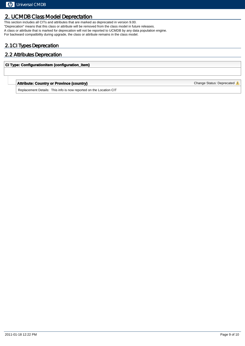## 2. UCMDB Class Model Deprectation

This section includes all CITs and attributes that are marked as deprecated in version 9.00. "Deprecation" means that this class or attribute will be removed from the class model in future releases. A class or attribute that is marked for deprecation will not be reported to UCMDB by any data population engine. For backward compatibility during upgrade, the class or attribute remains in the class model.

### 2.1 CI Types Deprecation

#### 2.2 Attributes Deprecation

#### **CI Type: ConfigurationItem (configuration\_item)**

#### **Attribute: Country or Province (country)** Change Status: Deprecated **A**

Replacement Details: This info is now reported on the Location CIT